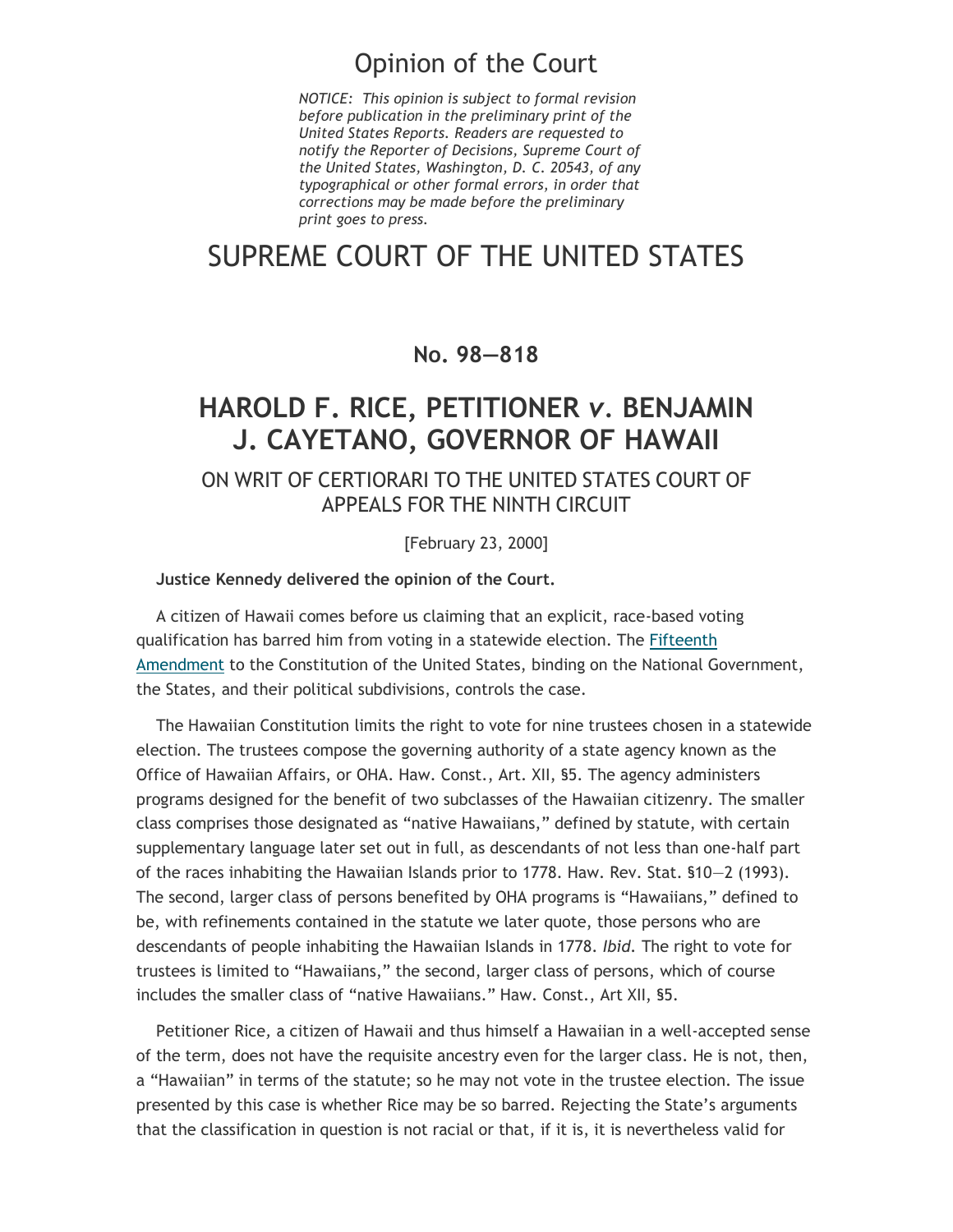# Opinion of the Court

*NOTICE: This opinion is subject to formal revision before publication in the preliminary print of the United States Reports. Readers are requested to notify the Reporter of Decisions, Supreme Court of the United States, Washington, D. C. 20543, of any typographical or other formal errors, in order that corrections may be made before the preliminary print goes to press.*

# SUPREME COURT OF THE UNITED STATES

#### **No. 98—818**

# **HAROLD F. RICE, PETITIONER** *v.* **BENJAMIN J. CAYETANO, GOVERNOR OF HAWAII**

### ON WRIT OF CERTIORARI TO THE UNITED STATES COURT OF APPEALS FOR THE NINTH CIRCUIT

[February 23, 2000]

#### **Justice Kennedy delivered the opinion of the Court.**

 A citizen of Hawaii comes before us claiming that an explicit, race-based voting qualification has barred him from voting in a statewide election. The **Fifteenth** [Amendment](https://www.law.cornell.edu/supct-cgi/get-const?amendmentxv) to the Constitution of the United States, binding on the National Government, the States, and their political subdivisions, controls the case.

 The Hawaiian Constitution limits the right to vote for nine trustees chosen in a statewide election. The trustees compose the governing authority of a state agency known as the Office of Hawaiian Affairs, or OHA. Haw. Const., Art. XII, §5. The agency administers programs designed for the benefit of two subclasses of the Hawaiian citizenry. The smaller class comprises those designated as "native Hawaiians," defined by statute, with certain supplementary language later set out in full, as descendants of not less than one-half part of the races inhabiting the Hawaiian Islands prior to 1778. Haw. Rev. Stat. §10—2 (1993). The second, larger class of persons benefited by OHA programs is "Hawaiians," defined to be, with refinements contained in the statute we later quote, those persons who are descendants of people inhabiting the Hawaiian Islands in 1778. *Ibid.* The right to vote for trustees is limited to "Hawaiians," the second, larger class of persons, which of course includes the smaller class of "native Hawaiians." Haw. Const., Art XII, §5.

 Petitioner Rice*,* a citizen of Hawaii and thus himself a Hawaiian in a well-accepted sense of the term, does not have the requisite ancestry even for the larger class. He is not, then, a "Hawaiian" in terms of the statute; so he may not vote in the trustee election. The issue presented by this case is whether Rice may be so barred. Rejecting the State's arguments that the classification in question is not racial or that, if it is, it is nevertheless valid for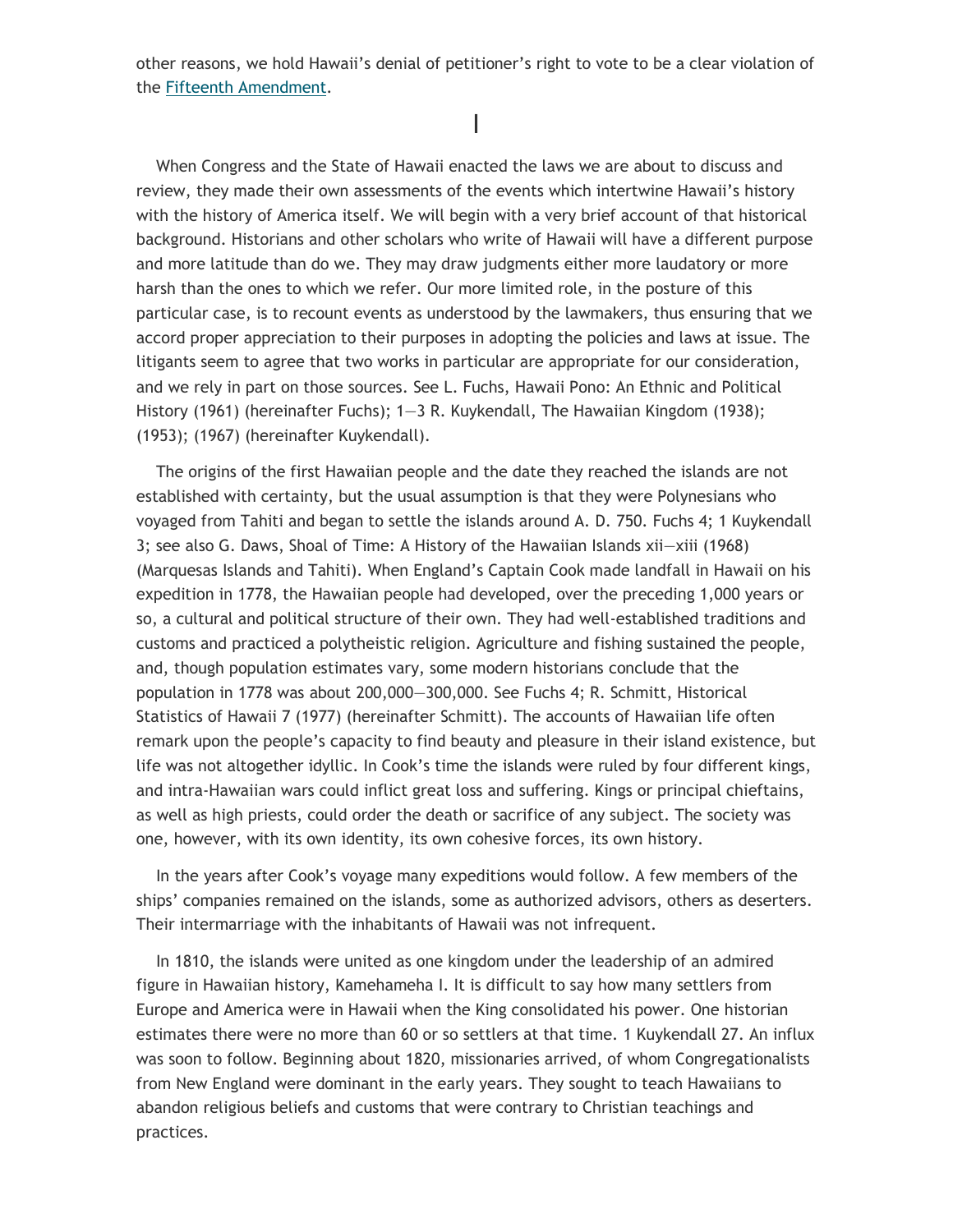other reasons, we hold Hawaii's denial of petitioner's right to vote to be a clear violation of the [Fifteenth Amendment.](https://www.law.cornell.edu/supct-cgi/get-const?amendmentxv)

I

 When Congress and the State of Hawaii enacted the laws we are about to discuss and review, they made their own assessments of the events which intertwine Hawaii's history with the history of America itself. We will begin with a very brief account of that historical background. Historians and other scholars who write of Hawaii will have a different purpose and more latitude than do we. They may draw judgments either more laudatory or more harsh than the ones to which we refer. Our more limited role, in the posture of this particular case, is to recount events as understood by the lawmakers, thus ensuring that we accord proper appreciation to their purposes in adopting the policies and laws at issue. The litigants seem to agree that two works in particular are appropriate for our consideration, and we rely in part on those sources. See L. Fuchs, Hawaii Pono: An Ethnic and Political History (1961) (hereinafter Fuchs); 1–3 R. Kuykendall, The Hawaiian Kingdom (1938); (1953); (1967) (hereinafter Kuykendall).

 The origins of the first Hawaiian people and the date they reached the islands are not established with certainty, but the usual assumption is that they were Polynesians who voyaged from Tahiti and began to settle the islands around A. D. 750. Fuchs 4; 1 Kuykendall 3; see also G. Daws, Shoal of Time: A History of the Hawaiian Islands xii—xiii (1968) (Marquesas Islands and Tahiti). When England's Captain Cook made landfall in Hawaii on his expedition in 1778, the Hawaiian people had developed, over the preceding 1,000 years or so, a cultural and political structure of their own. They had well-established traditions and customs and practiced a polytheistic religion. Agriculture and fishing sustained the people, and, though population estimates vary, some modern historians conclude that the population in 1778 was about 200,000—300,000. See Fuchs 4; R. Schmitt, Historical Statistics of Hawaii 7 (1977) (hereinafter Schmitt). The accounts of Hawaiian life often remark upon the people's capacity to find beauty and pleasure in their island existence, but life was not altogether idyllic. In Cook's time the islands were ruled by four different kings, and intra-Hawaiian wars could inflict great loss and suffering. Kings or principal chieftains, as well as high priests, could order the death or sacrifice of any subject. The society was one, however, with its own identity, its own cohesive forces, its own history.

 In the years after Cook's voyage many expeditions would follow. A few members of the ships' companies remained on the islands, some as authorized advisors, others as deserters. Their intermarriage with the inhabitants of Hawaii was not infrequent.

 In 1810, the islands were united as one kingdom under the leadership of an admired figure in Hawaiian history, Kamehameha I. It is difficult to say how many settlers from Europe and America were in Hawaii when the King consolidated his power. One historian estimates there were no more than 60 or so settlers at that time. 1 Kuykendall 27. An influx was soon to follow. Beginning about 1820, missionaries arrived, of whom Congregationalists from New England were dominant in the early years. They sought to teach Hawaiians to abandon religious beliefs and customs that were contrary to Christian teachings and practices.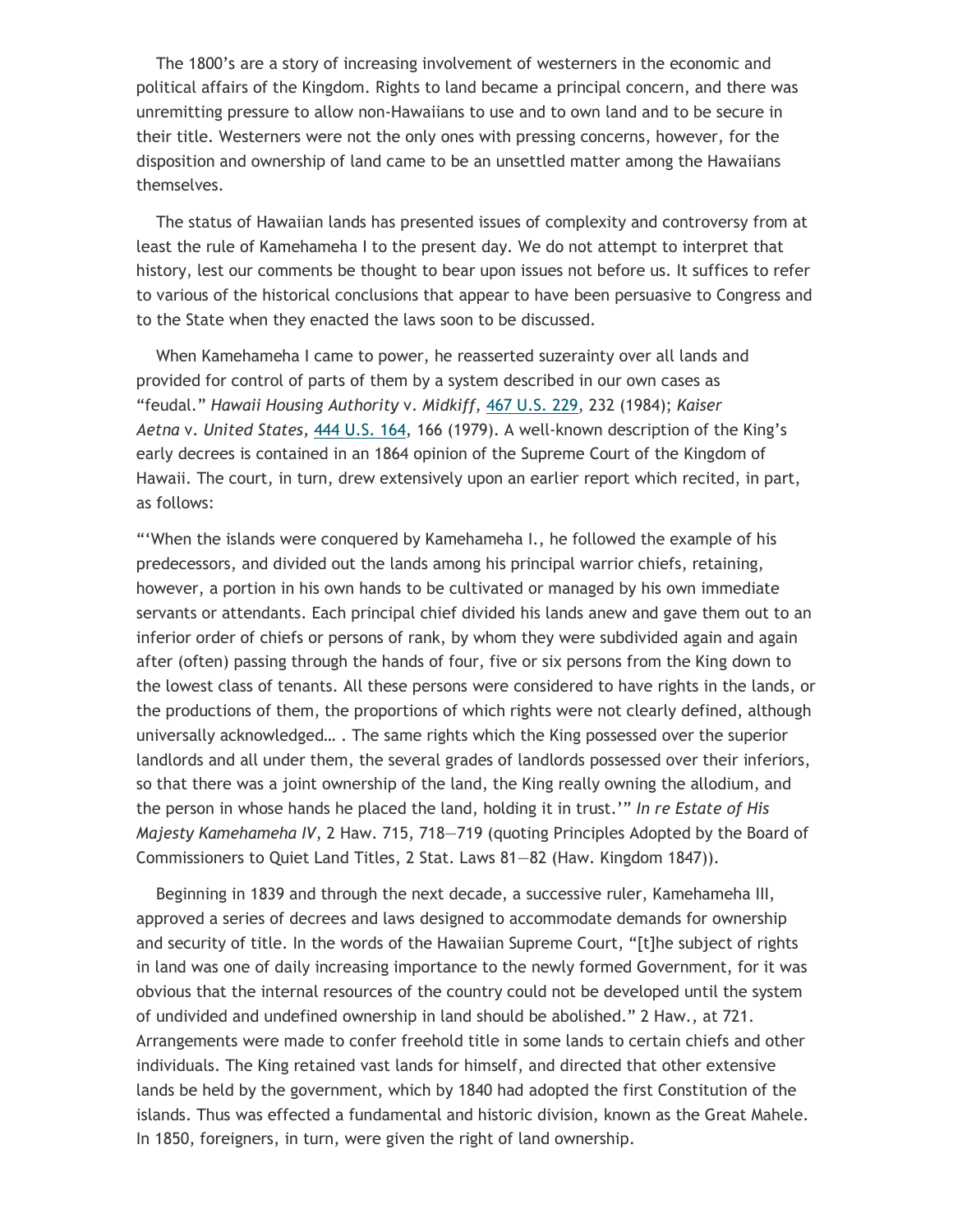The 1800's are a story of increasing involvement of westerners in the economic and political affairs of the Kingdom. Rights to land became a principal concern, and there was unremitting pressure to allow non-Hawaiians to use and to own land and to be secure in their title. Westerners were not the only ones with pressing concerns, however, for the disposition and ownership of land came to be an unsettled matter among the Hawaiians themselves.

 The status of Hawaiian lands has presented issues of complexity and controversy from at least the rule of Kamehameha I to the present day. We do not attempt to interpret that history, lest our comments be thought to bear upon issues not before us. It suffices to refer to various of the historical conclusions that appear to have been persuasive to Congress and to the State when they enacted the laws soon to be discussed.

 When Kamehameha I came to power, he reasserted suzerainty over all lands and provided for control of parts of them by a system described in our own cases as "feudal." *Hawaii Housing Authority* v. *Midkiff,* [467 U.S. 229,](https://www.law.cornell.edu/supct-cgi/get-us-cite?467+229) 232 (1984); *Kaiser Aetna* v. *United States,* [444 U.S. 164,](https://www.law.cornell.edu/supct-cgi/get-us-cite?444+164) 166 (1979). A well-known description of the King's early decrees is contained in an 1864 opinion of the Supreme Court of the Kingdom of Hawaii. The court, in turn, drew extensively upon an earlier report which recited, in part, as follows:

"'When the islands were conquered by Kamehameha I., he followed the example of his predecessors, and divided out the lands among his principal warrior chiefs, retaining, however, a portion in his own hands to be cultivated or managed by his own immediate servants or attendants. Each principal chief divided his lands anew and gave them out to an inferior order of chiefs or persons of rank, by whom they were subdivided again and again after (often) passing through the hands of four, five or six persons from the King down to the lowest class of tenants. All these persons were considered to have rights in the lands, or the productions of them, the proportions of which rights were not clearly defined, although universally acknowledged… . The same rights which the King possessed over the superior landlords and all under them, the several grades of landlords possessed over their inferiors, so that there was a joint ownership of the land, the King really owning the allodium, and the person in whose hands he placed the land, holding it in trust.'" *In re Estate of His Majesty Kamehameha IV*, 2 Haw. 715, 718—719 (quoting Principles Adopted by the Board of Commissioners to Quiet Land Titles, 2 Stat. Laws 81—82 (Haw. Kingdom 1847)).

 Beginning in 1839 and through the next decade, a successive ruler, Kamehameha III, approved a series of decrees and laws designed to accommodate demands for ownership and security of title. In the words of the Hawaiian Supreme Court, "[t]he subject of rights in land was one of daily increasing importance to the newly formed Government, for it was obvious that the internal resources of the country could not be developed until the system of undivided and undefined ownership in land should be abolished." 2 Haw.*,* at 721. Arrangements were made to confer freehold title in some lands to certain chiefs and other individuals. The King retained vast lands for himself, and directed that other extensive lands be held by the government, which by 1840 had adopted the first Constitution of the islands. Thus was effected a fundamental and historic division, known as the Great Mahele. In 1850, foreigners, in turn, were given the right of land ownership.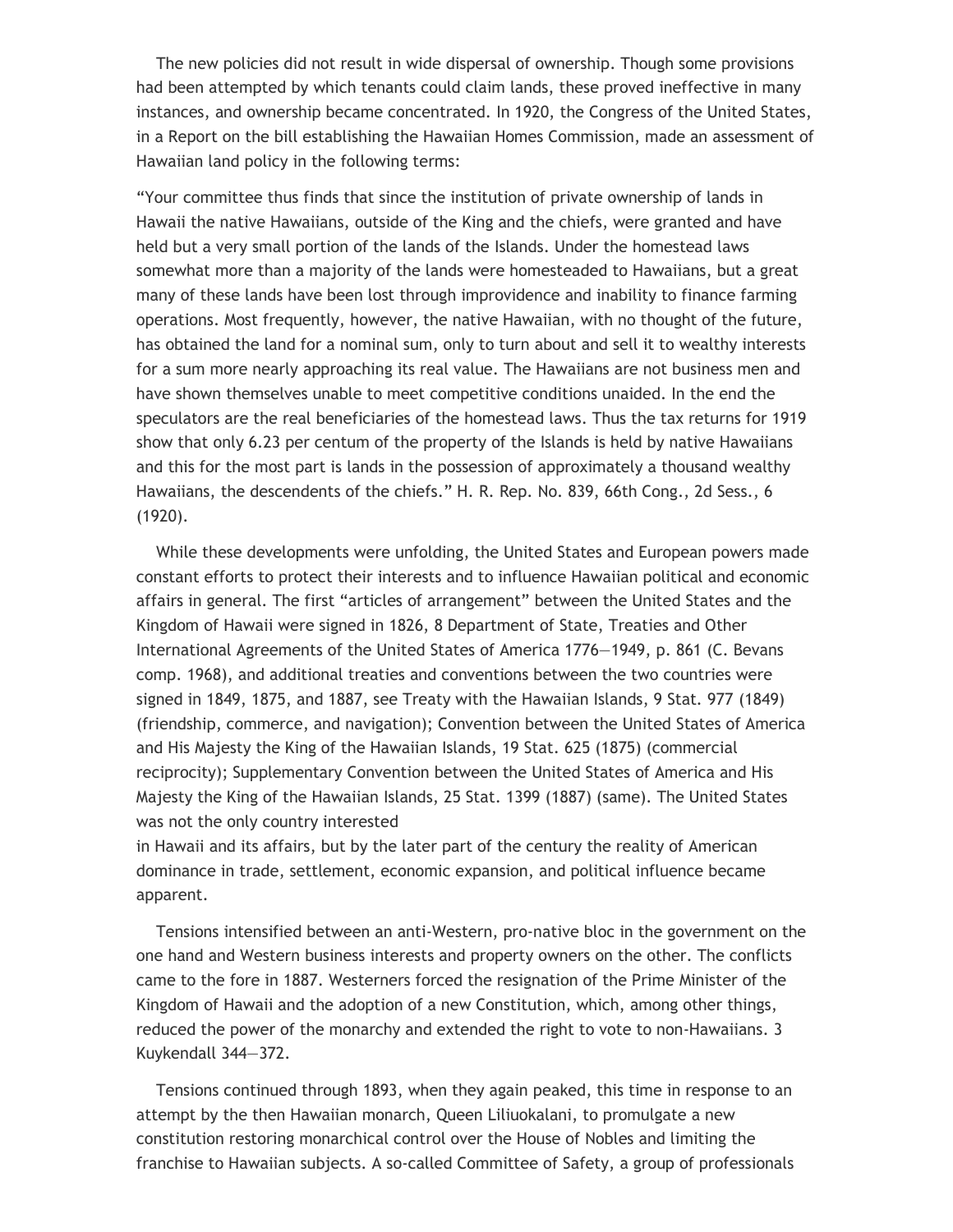The new policies did not result in wide dispersal of ownership. Though some provisions had been attempted by which tenants could claim lands, these proved ineffective in many instances, and ownership became concentrated. In 1920, the Congress of the United States, in a Report on the bill establishing the Hawaiian Homes Commission, made an assessment of Hawaiian land policy in the following terms:

"Your committee thus finds that since the institution of private ownership of lands in Hawaii the native Hawaiians, outside of the King and the chiefs, were granted and have held but a very small portion of the lands of the Islands. Under the homestead laws somewhat more than a majority of the lands were homesteaded to Hawaiians, but a great many of these lands have been lost through improvidence and inability to finance farming operations. Most frequently, however, the native Hawaiian, with no thought of the future, has obtained the land for a nominal sum, only to turn about and sell it to wealthy interests for a sum more nearly approaching its real value. The Hawaiians are not business men and have shown themselves unable to meet competitive conditions unaided. In the end the speculators are the real beneficiaries of the homestead laws. Thus the tax returns for 1919 show that only 6.23 per centum of the property of the Islands is held by native Hawaiians and this for the most part is lands in the possession of approximately a thousand wealthy Hawaiians, the descendents of the chiefs." H. R. Rep. No. 839, 66th Cong., 2d Sess., 6 (1920).

 While these developments were unfolding, the United States and European powers made constant efforts to protect their interests and to influence Hawaiian political and economic affairs in general. The first "articles of arrangement" between the United States and the Kingdom of Hawaii were signed in 1826, 8 Department of State, Treaties and Other International Agreements of the United States of America 1776—1949, p. 861 (C. Bevans comp. 1968), and additional treaties and conventions between the two countries were signed in 1849, 1875, and 1887, see Treaty with the Hawaiian Islands, 9 Stat. 977 (1849) (friendship, commerce, and navigation); Convention between the United States of America and His Majesty the King of the Hawaiian Islands, 19 Stat. 625 (1875) (commercial reciprocity); Supplementary Convention between the United States of America and His Majesty the King of the Hawaiian Islands, 25 Stat. 1399 (1887) (same). The United States was not the only country interested

in Hawaii and its affairs, but by the later part of the century the reality of American dominance in trade, settlement, economic expansion, and political influence became apparent.

 Tensions intensified between an anti-Western, pro-native bloc in the government on the one hand and Western business interests and property owners on the other. The conflicts came to the fore in 1887. Westerners forced the resignation of the Prime Minister of the Kingdom of Hawaii and the adoption of a new Constitution, which, among other things, reduced the power of the monarchy and extended the right to vote to non-Hawaiians. 3 Kuykendall 344—372.

 Tensions continued through 1893, when they again peaked, this time in response to an attempt by the then Hawaiian monarch, Queen Liliuokalani, to promulgate a new constitution restoring monarchical control over the House of Nobles and limiting the franchise to Hawaiian subjects. A so-called Committee of Safety, a group of professionals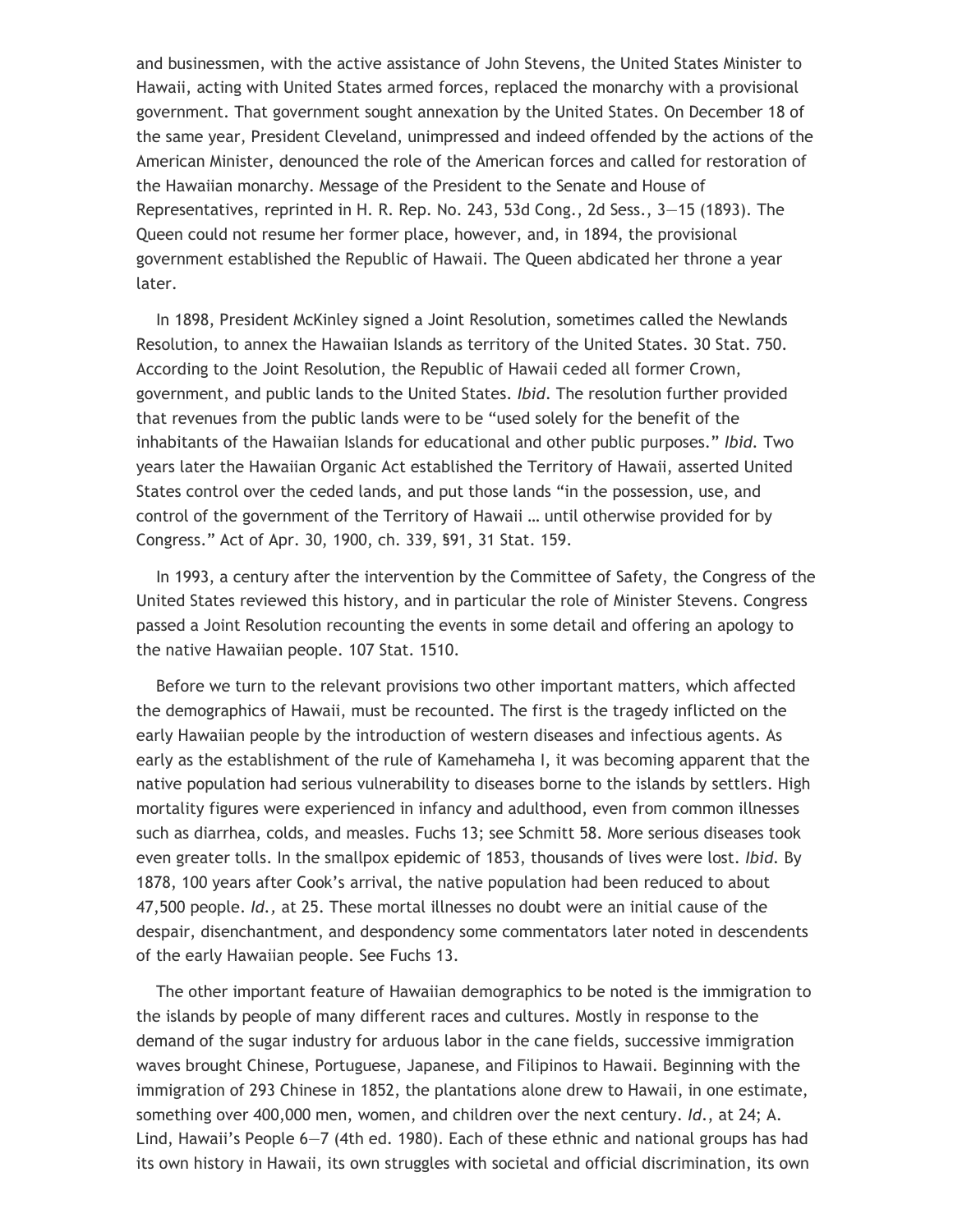and businessmen, with the active assistance of John Stevens, the United States Minister to Hawaii, acting with United States armed forces, replaced the monarchy with a provisional government. That government sought annexation by the United States. On December 18 of the same year, President Cleveland, unimpressed and indeed offended by the actions of the American Minister, denounced the role of the American forces and called for restoration of the Hawaiian monarchy. Message of the President to the Senate and House of Representatives, reprinted in H. R. Rep. No. 243, 53d Cong., 2d Sess., 3—15 (1893). The Queen could not resume her former place, however, and, in 1894, the provisional government established the Republic of Hawaii. The Queen abdicated her throne a year later.

 In 1898, President McKinley signed a Joint Resolution, sometimes called the Newlands Resolution, to annex the Hawaiian Islands as territory of the United States. 30 Stat. 750. According to the Joint Resolution, the Republic of Hawaii ceded all former Crown, government, and public lands to the United States. *Ibid*. The resolution further provided that revenues from the public lands were to be "used solely for the benefit of the inhabitants of the Hawaiian Islands for educational and other public purposes." *Ibid.* Two years later the Hawaiian Organic Act established the Territory of Hawaii, asserted United States control over the ceded lands, and put those lands "in the possession, use, and control of the government of the Territory of Hawaii … until otherwise provided for by Congress." Act of Apr. 30, 1900, ch. 339, §91, 31 Stat. 159.

 In 1993, a century after the intervention by the Committee of Safety, the Congress of the United States reviewed this history, and in particular the role of Minister Stevens. Congress passed a Joint Resolution recounting the events in some detail and offering an apology to the native Hawaiian people. 107 Stat. 1510.

 Before we turn to the relevant provisions two other important matters, which affected the demographics of Hawaii, must be recounted. The first is the tragedy inflicted on the early Hawaiian people by the introduction of western diseases and infectious agents. As early as the establishment of the rule of Kamehameha I, it was becoming apparent that the native population had serious vulnerability to diseases borne to the islands by settlers. High mortality figures were experienced in infancy and adulthood, even from common illnesses such as diarrhea, colds, and measles. Fuchs 13; see Schmitt 58. More serious diseases took even greater tolls. In the smallpox epidemic of 1853, thousands of lives were lost. *Ibid.* By 1878, 100 years after Cook's arrival, the native population had been reduced to about 47,500 people. *Id.,* at 25. These mortal illnesses no doubt were an initial cause of the despair, disenchantment, and despondency some commentators later noted in descendents of the early Hawaiian people. See Fuchs 13.

 The other important feature of Hawaiian demographics to be noted is the immigration to the islands by people of many different races and cultures. Mostly in response to the demand of the sugar industry for arduous labor in the cane fields, successive immigration waves brought Chinese, Portuguese, Japanese, and Filipinos to Hawaii. Beginning with the immigration of 293 Chinese in 1852, the plantations alone drew to Hawaii, in one estimate, something over 400,000 men, women, and children over the next century. *Id*., at 24; A. Lind, Hawaii's People 6—7 (4th ed. 1980). Each of these ethnic and national groups has had its own history in Hawaii, its own struggles with societal and official discrimination, its own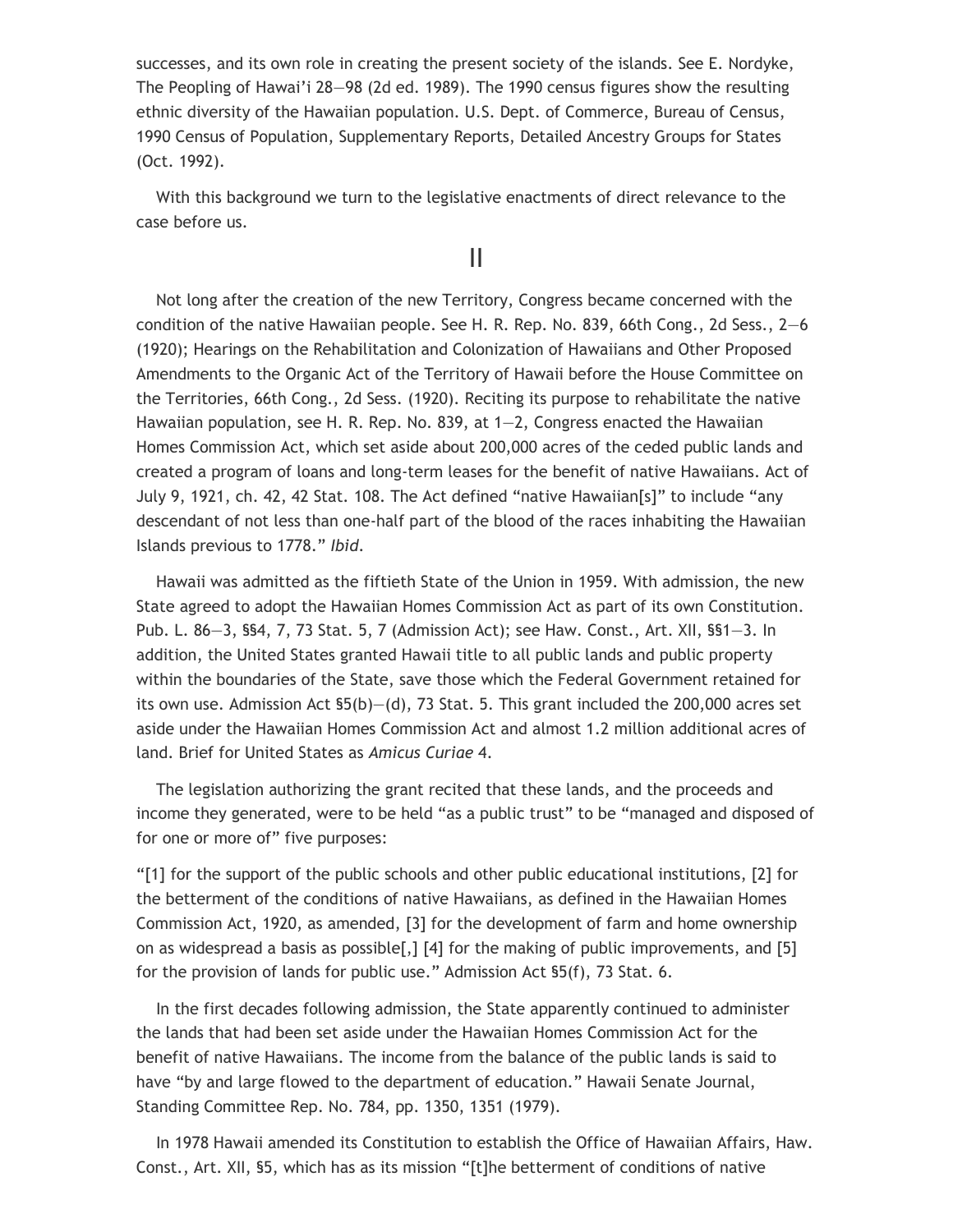successes, and its own role in creating the present society of the islands. See E. Nordyke, The Peopling of Hawai'i 28—98 (2d ed. 1989). The 1990 census figures show the resulting ethnic diversity of the Hawaiian population. U.S. Dept. of Commerce, Bureau of Census, 1990 Census of Population, Supplementary Reports, Detailed Ancestry Groups for States (Oct. 1992).

 With this background we turn to the legislative enactments of direct relevance to the case before us.

## II

 Not long after the creation of the new Territory, Congress became concerned with the condition of the native Hawaiian people. See H. R. Rep. No. 839, 66th Cong., 2d Sess., 2—6 (1920); Hearings on the Rehabilitation and Colonization of Hawaiians and Other Proposed Amendments to the Organic Act of the Territory of Hawaii before the House Committee on the Territories, 66th Cong., 2d Sess. (1920). Reciting its purpose to rehabilitate the native Hawaiian population, see H. R. Rep. No. 839, at 1—2, Congress enacted the Hawaiian Homes Commission Act, which set aside about 200,000 acres of the ceded public lands and created a program of loans and long-term leases for the benefit of native Hawaiians. Act of July 9, 1921, ch. 42, 42 Stat. 108. The Act defined "native Hawaiian[s]" to include "any descendant of not less than one-half part of the blood of the races inhabiting the Hawaiian Islands previous to 1778." *Ibid*.

 Hawaii was admitted as the fiftieth State of the Union in 1959. With admission, the new State agreed to adopt the Hawaiian Homes Commission Act as part of its own Constitution. Pub. L. 86—3, §§4, 7, 73 Stat. 5, 7 (Admission Act); see Haw. Const., Art. XII, §§1—3. In addition, the United States granted Hawaii title to all public lands and public property within the boundaries of the State, save those which the Federal Government retained for its own use. Admission Act  $$5(b)–(d)$ , 73 Stat. 5. This grant included the 200,000 acres set aside under the Hawaiian Homes Commission Act and almost 1.2 million additional acres of land. Brief for United States as *Amicus Curiae* 4.

 The legislation authorizing the grant recited that these lands, and the proceeds and income they generated, were to be held "as a public trust" to be "managed and disposed of for one or more of" five purposes:

"[1] for the support of the public schools and other public educational institutions, [2] for the betterment of the conditions of native Hawaiians, as defined in the Hawaiian Homes Commission Act, 1920, as amended, [3] for the development of farm and home ownership on as widespread a basis as possible[,] [4] for the making of public improvements, and [5] for the provision of lands for public use." Admission Act §5(f), 73 Stat. 6.

 In the first decades following admission, the State apparently continued to administer the lands that had been set aside under the Hawaiian Homes Commission Act for the benefit of native Hawaiians. The income from the balance of the public lands is said to have "by and large flowed to the department of education." Hawaii Senate Journal, Standing Committee Rep. No. 784, pp. 1350, 1351 (1979).

 In 1978 Hawaii amended its Constitution to establish the Office of Hawaiian Affairs, Haw. Const., Art. XII, §5, which has as its mission "[t]he betterment of conditions of native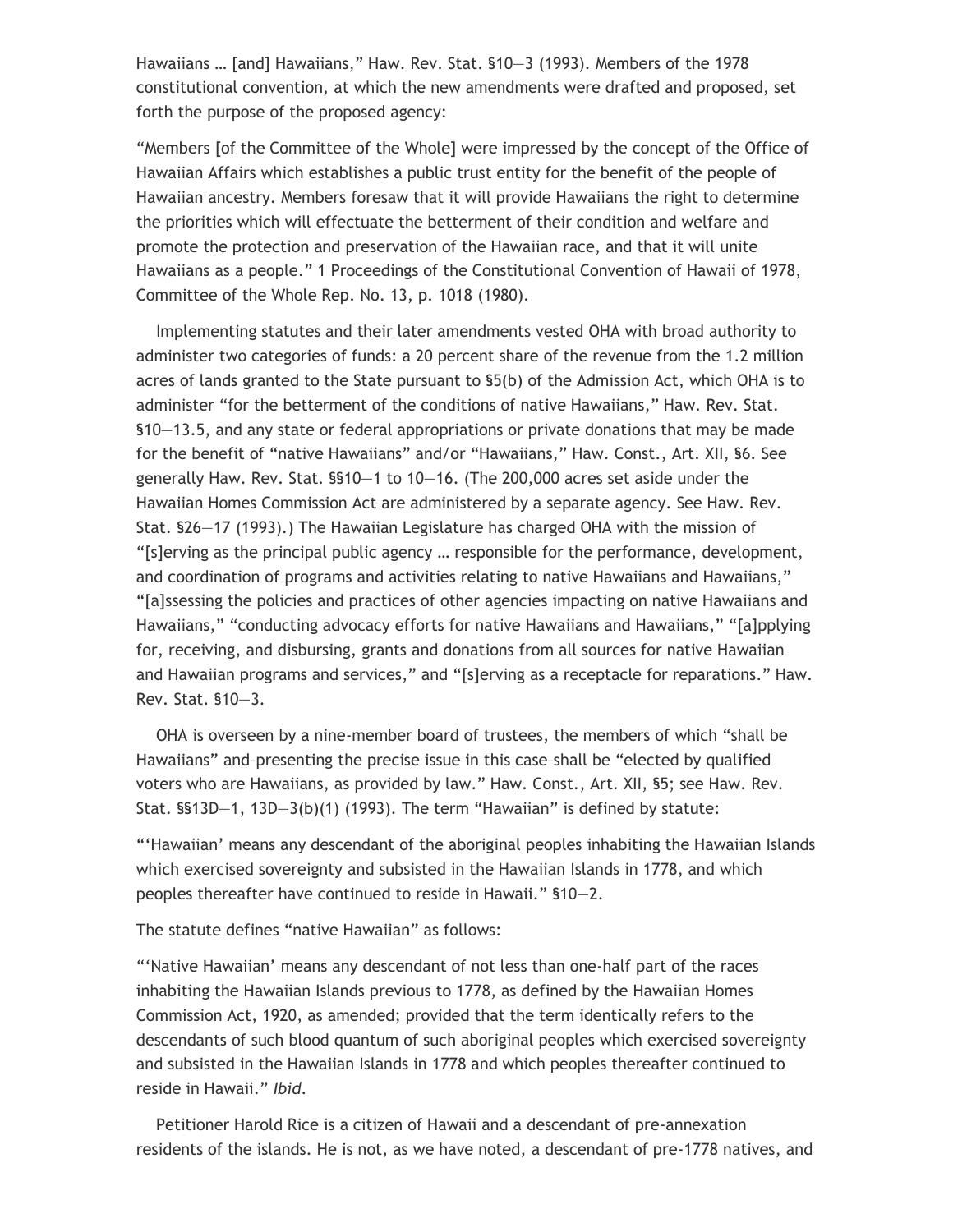Hawaiians … [and] Hawaiians," Haw. Rev. Stat. §10—3 (1993). Members of the 1978 constitutional convention, at which the new amendments were drafted and proposed, set forth the purpose of the proposed agency:

"Members [of the Committee of the Whole] were impressed by the concept of the Office of Hawaiian Affairs which establishes a public trust entity for the benefit of the people of Hawaiian ancestry. Members foresaw that it will provide Hawaiians the right to determine the priorities which will effectuate the betterment of their condition and welfare and promote the protection and preservation of the Hawaiian race, and that it will unite Hawaiians as a people." 1 Proceedings of the Constitutional Convention of Hawaii of 1978, Committee of the Whole Rep. No. 13, p. 1018 (1980).

 Implementing statutes and their later amendments vested OHA with broad authority to administer two categories of funds: a 20 percent share of the revenue from the 1.2 million acres of lands granted to the State pursuant to §5(b) of the Admission Act, which OHA is to administer "for the betterment of the conditions of native Hawaiians," Haw. Rev. Stat. §10—13.5, and any state or federal appropriations or private donations that may be made for the benefit of "native Hawaiians" and/or "Hawaiians," Haw. Const., Art. XII, §6. See generally Haw. Rev. Stat. §§10—1 to 10—16. (The 200,000 acres set aside under the Hawaiian Homes Commission Act are administered by a separate agency. See Haw. Rev. Stat. §26—17 (1993).) The Hawaiian Legislature has charged OHA with the mission of "[s]erving as the principal public agency … responsible for the performance, development, and coordination of programs and activities relating to native Hawaiians and Hawaiians," "[a]ssessing the policies and practices of other agencies impacting on native Hawaiians and Hawaiians," "conducting advocacy efforts for native Hawaiians and Hawaiians," "[a]pplying for, receiving, and disbursing, grants and donations from all sources for native Hawaiian and Hawaiian programs and services," and "[s]erving as a receptacle for reparations." Haw. Rev. Stat. §10—3.

 OHA is overseen by a nine-member board of trustees, the members of which "shall be Hawaiians" and–presenting the precise issue in this case–shall be "elected by qualified voters who are Hawaiians, as provided by law." Haw. Const., Art. XII, §5; see Haw. Rev. Stat. §§13D—1, 13D—3(b)(1) (1993). The term "Hawaiian" is defined by statute:

"'Hawaiian' means any descendant of the aboriginal peoples inhabiting the Hawaiian Islands which exercised sovereignty and subsisted in the Hawaiian Islands in 1778, and which peoples thereafter have continued to reside in Hawaii." §10—2.

The statute defines "native Hawaiian" as follows:

"'Native Hawaiian' means any descendant of not less than one-half part of the races inhabiting the Hawaiian Islands previous to 1778, as defined by the Hawaiian Homes Commission Act, 1920, as amended; provided that the term identically refers to the descendants of such blood quantum of such aboriginal peoples which exercised sovereignty and subsisted in the Hawaiian Islands in 1778 and which peoples thereafter continued to reside in Hawaii." *Ibid*.

 Petitioner Harold Rice is a citizen of Hawaii and a descendant of pre-annexation residents of the islands. He is not, as we have noted, a descendant of pre-1778 natives, and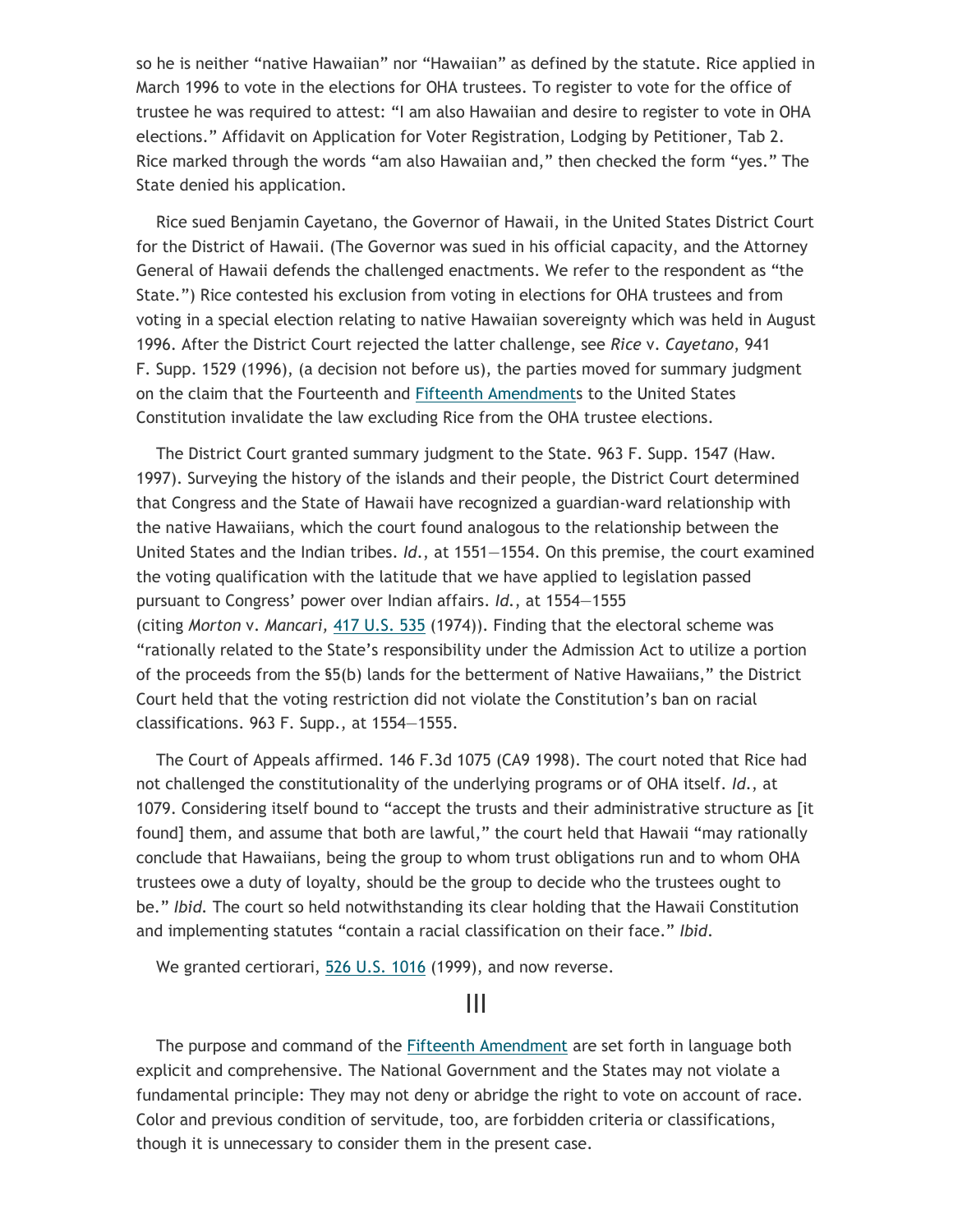so he is neither "native Hawaiian" nor "Hawaiian" as defined by the statute. Rice applied in March 1996 to vote in the elections for OHA trustees. To register to vote for the office of trustee he was required to attest: "I am also Hawaiian and desire to register to vote in OHA elections." Affidavit on Application for Voter Registration, Lodging by Petitioner, Tab 2. Rice marked through the words "am also Hawaiian and," then checked the form "yes." The State denied his application.

 Rice sued Benjamin Cayetano, the Governor of Hawaii, in the United States District Court for the District of Hawaii. (The Governor was sued in his official capacity, and the Attorney General of Hawaii defends the challenged enactments. We refer to the respondent as "the State.") Rice contested his exclusion from voting in elections for OHA trustees and from voting in a special election relating to native Hawaiian sovereignty which was held in August 1996. After the District Court rejected the latter challenge, see *Rice* v. *Cayetano*, 941 F. Supp. 1529 (1996), (a decision not before us), the parties moved for summary judgment on the claim that the Fourteenth and [Fifteenth Amendments](https://www.law.cornell.edu/supct-cgi/get-const?amendmentxv) to the United States Constitution invalidate the law excluding Rice from the OHA trustee elections.

 The District Court granted summary judgment to the State. 963 F. Supp. 1547 (Haw. 1997). Surveying the history of the islands and their people, the District Court determined that Congress and the State of Hawaii have recognized a guardian-ward relationship with the native Hawaiians, which the court found analogous to the relationship between the United States and the Indian tribes. *Id*., at 1551—1554. On this premise, the court examined the voting qualification with the latitude that we have applied to legislation passed pursuant to Congress' power over Indian affairs. *Id*., at 1554—1555 (citing *Morton* v. *Mancari,* [417 U.S. 535](https://www.law.cornell.edu/supct-cgi/get-us-cite?417+535) (1974)). Finding that the electoral scheme was "rationally related to the State's responsibility under the Admission Act to utilize a portion of the proceeds from the §5(b) lands for the betterment of Native Hawaiians," the District Court held that the voting restriction did not violate the Constitution's ban on racial classifications. 963 F. Supp., at 1554—1555.

 The Court of Appeals affirmed. 146 F.3d 1075 (CA9 1998). The court noted that Rice had not challenged the constitutionality of the underlying programs or of OHA itself. *Id*., at 1079. Considering itself bound to "accept the trusts and their administrative structure as [it found] them, and assume that both are lawful," the court held that Hawaii "may rationally conclude that Hawaiians, being the group to whom trust obligations run and to whom OHA trustees owe a duty of loyalty, should be the group to decide who the trustees ought to be." *Ibid.* The court so held notwithstanding its clear holding that the Hawaii Constitution and implementing statutes "contain a racial classification on their face." *Ibid*.

We granted certiorari, [526 U.S. 1016](https://www.law.cornell.edu/supct-cgi/get-us-cite?526+1016) (1999), and now reverse.

### III

 The purpose and command of the [Fifteenth Amendment](https://www.law.cornell.edu/supct-cgi/get-const?amendmentxv) are set forth in language both explicit and comprehensive. The National Government and the States may not violate a fundamental principle: They may not deny or abridge the right to vote on account of race. Color and previous condition of servitude, too, are forbidden criteria or classifications, though it is unnecessary to consider them in the present case.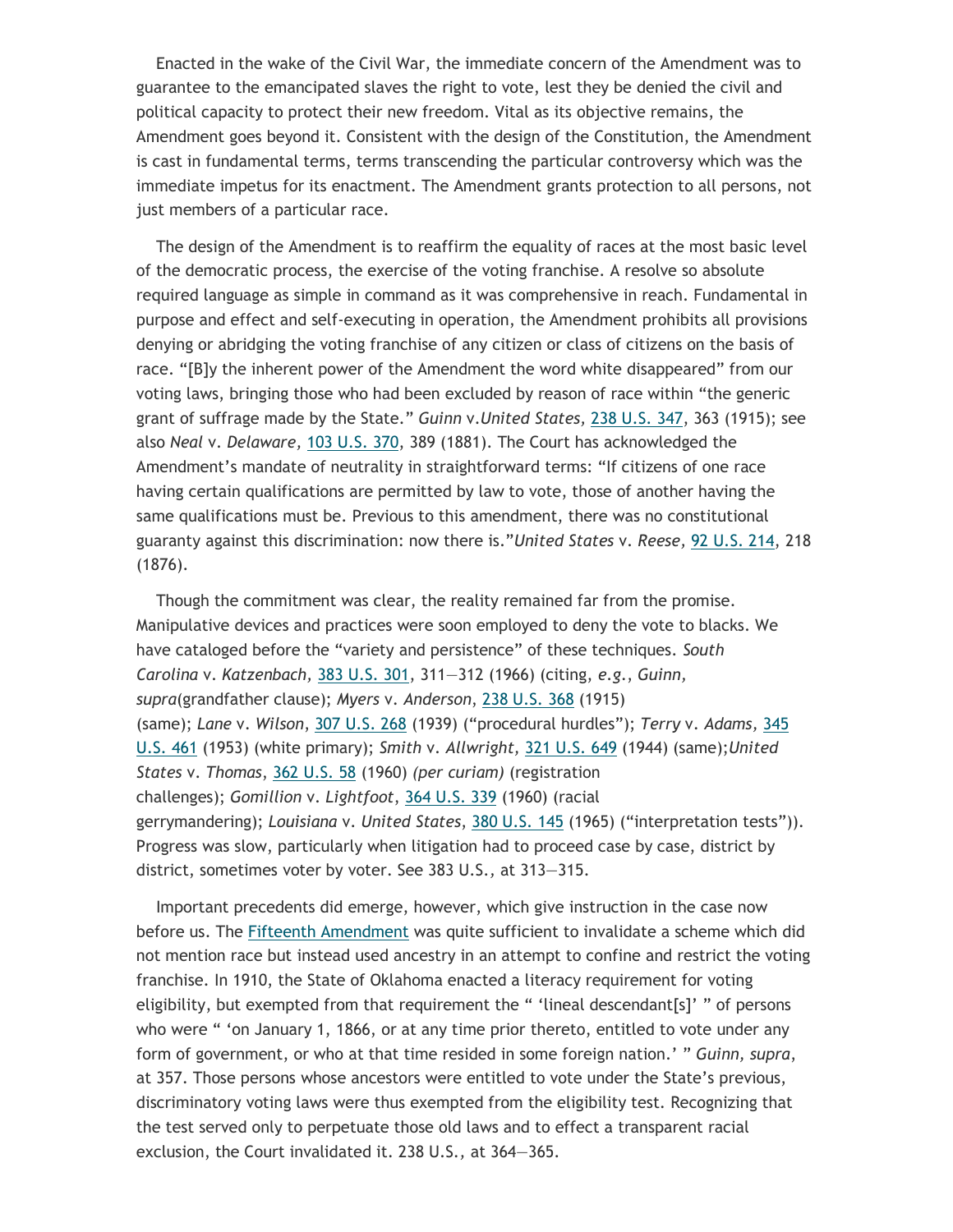Enacted in the wake of the Civil War, the immediate concern of the Amendment was to guarantee to the emancipated slaves the right to vote, lest they be denied the civil and political capacity to protect their new freedom. Vital as its objective remains, the Amendment goes beyond it. Consistent with the design of the Constitution, the Amendment is cast in fundamental terms, terms transcending the particular controversy which was the immediate impetus for its enactment. The Amendment grants protection to all persons, not just members of a particular race.

 The design of the Amendment is to reaffirm the equality of races at the most basic level of the democratic process, the exercise of the voting franchise. A resolve so absolute required language as simple in command as it was comprehensive in reach. Fundamental in purpose and effect and self-executing in operation, the Amendment prohibits all provisions denying or abridging the voting franchise of any citizen or class of citizens on the basis of race. "[B]y the inherent power of the Amendment the word white disappeared" from our voting laws, bringing those who had been excluded by reason of race within "the generic grant of suffrage made by the State." *Guinn* v.*United States,* [238 U.S. 347,](https://www.law.cornell.edu/supct-cgi/get-us-cite?238+347) 363 (1915); see also *Neal* v. *Delaware,* [103 U.S. 370,](https://www.law.cornell.edu/supct-cgi/get-us-cite?103+370) 389 (1881). The Court has acknowledged the Amendment's mandate of neutrality in straightforward terms: "If citizens of one race having certain qualifications are permitted by law to vote, those of another having the same qualifications must be. Previous to this amendment, there was no constitutional guaranty against this discrimination: now there is."*United States* v. *Reese,* [92 U.S. 214,](https://www.law.cornell.edu/supct-cgi/get-us-cite?92+214) 218 (1876).

 Though the commitment was clear, the reality remained far from the promise. Manipulative devices and practices were soon employed to deny the vote to blacks. We have cataloged before the "variety and persistence" of these techniques. *South Carolina* v. *Katzenbach,* [383 U.S. 301,](https://www.law.cornell.edu/supct-cgi/get-us-cite?383+301) 311—312 (1966) (citing, *e.g*., *Guinn, supra*(grandfather clause); *Myers* v. *Anderson*, [238 U.S. 368](https://www.law.cornell.edu/supct-cgi/get-us-cite?238+368) (1915) (same); *Lane* v. *Wilson*, [307 U.S. 268](https://www.law.cornell.edu/supct-cgi/get-us-cite?307+268) (1939) ("procedural hurdles"); *Terry* v. *Adams,* [345](https://www.law.cornell.edu/supct-cgi/get-us-cite?345+461)  [U.S. 461](https://www.law.cornell.edu/supct-cgi/get-us-cite?345+461) (1953) (white primary); *Smith* v. *Allwright,* [321 U.S. 649](https://www.law.cornell.edu/supct-cgi/get-us-cite?321+649) (1944) (same);*United States* v. *Thomas*, [362 U.S. 58](https://www.law.cornell.edu/supct-cgi/get-us-cite?362+58) (1960) *(per curiam)* (registration challenges); *Gomillion* v. *Lightfoot*, [364 U.S. 339](https://www.law.cornell.edu/supct-cgi/get-us-cite?364+339) (1960) (racial gerrymandering); *Louisiana* v. *United States*, [380 U.S. 145](https://www.law.cornell.edu/supct-cgi/get-us-cite?380+145) (1965) ("interpretation tests")). Progress was slow, particularly when litigation had to proceed case by case, district by district, sometimes voter by voter. See 383 U.S.*,* at 313—315.

 Important precedents did emerge, however, which give instruction in the case now before us. The [Fifteenth Amendment](https://www.law.cornell.edu/supct-cgi/get-const?amendmentxv) was quite sufficient to invalidate a scheme which did not mention race but instead used ancestry in an attempt to confine and restrict the voting franchise. In 1910, the State of Oklahoma enacted a literacy requirement for voting eligibility, but exempted from that requirement the " 'lineal descendant[s]' " of persons who were " 'on January 1, 1866, or at any time prior thereto, entitled to vote under any form of government, or who at that time resided in some foreign nation.' " *Guinn, supra*, at 357. Those persons whose ancestors were entitled to vote under the State's previous, discriminatory voting laws were thus exempted from the eligibility test. Recognizing that the test served only to perpetuate those old laws and to effect a transparent racial exclusion, the Court invalidated it. 238 U.S.*,* at 364—365.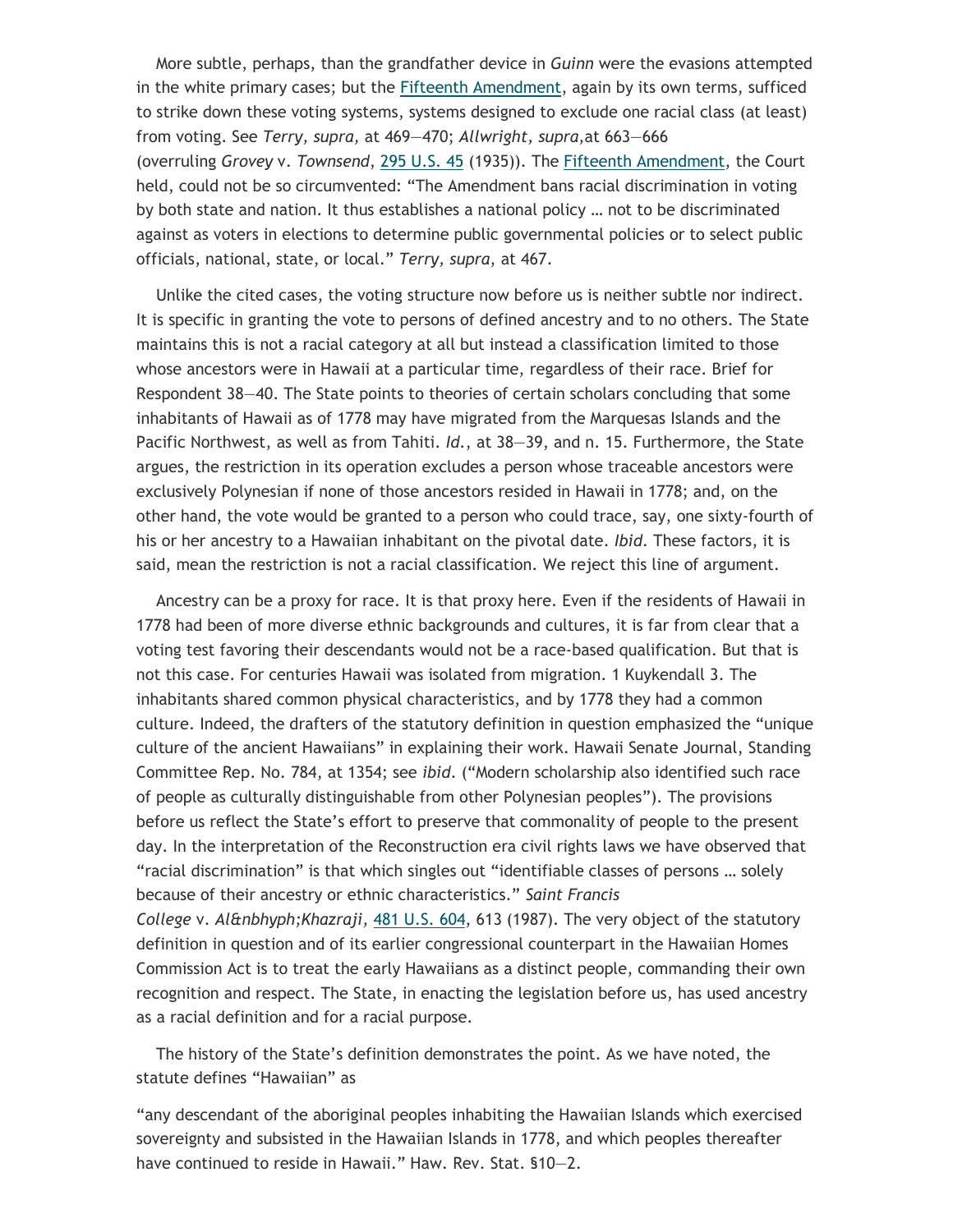More subtle, perhaps, than the grandfather device in *Guinn* were the evasions attempted in the white primary cases; but the [Fifteenth Amendment,](https://www.law.cornell.edu/supct-cgi/get-const?amendmentxv) again by its own terms, sufficed to strike down these voting systems, systems designed to exclude one racial class (at least) from voting. See *Terry, supra,* at 469—470; *Allwright, supra,*at 663—666 (overruling *Grovey* v. *Townsend*, [295 U.S. 45](https://www.law.cornell.edu/supct-cgi/get-us-cite?295+45) (1935)). The [Fifteenth Amendment,](https://www.law.cornell.edu/supct-cgi/get-const?amendmentxv) the Court held, could not be so circumvented: "The Amendment bans racial discrimination in voting by both state and nation. It thus establishes a national policy … not to be discriminated against as voters in elections to determine public governmental policies or to select public officials, national, state, or local." *Terry, supra*, at 467.

 Unlike the cited cases, the voting structure now before us is neither subtle nor indirect. It is specific in granting the vote to persons of defined ancestry and to no others. The State maintains this is not a racial category at all but instead a classification limited to those whose ancestors were in Hawaii at a particular time, regardless of their race. Brief for Respondent 38—40. The State points to theories of certain scholars concluding that some inhabitants of Hawaii as of 1778 may have migrated from the Marquesas Islands and the Pacific Northwest, as well as from Tahiti. *Id*., at 38—39, and n. 15. Furthermore, the State argues, the restriction in its operation excludes a person whose traceable ancestors were exclusively Polynesian if none of those ancestors resided in Hawaii in 1778; and, on the other hand, the vote would be granted to a person who could trace, say, one sixty-fourth of his or her ancestry to a Hawaiian inhabitant on the pivotal date. *Ibid*. These factors, it is said, mean the restriction is not a racial classification. We reject this line of argument.

 Ancestry can be a proxy for race. It is that proxy here. Even if the residents of Hawaii in 1778 had been of more diverse ethnic backgrounds and cultures, it is far from clear that a voting test favoring their descendants would not be a race-based qualification. But that is not this case. For centuries Hawaii was isolated from migration. 1 Kuykendall 3. The inhabitants shared common physical characteristics, and by 1778 they had a common culture. Indeed, the drafters of the statutory definition in question emphasized the "unique culture of the ancient Hawaiians" in explaining their work. Hawaii Senate Journal, Standing Committee Rep. No. 784, at 1354; see *ibid*. ("Modern scholarship also identified such race of people as culturally distinguishable from other Polynesian peoples"). The provisions before us reflect the State's effort to preserve that commonality of people to the present day. In the interpretation of the Reconstruction era civil rights laws we have observed that "racial discrimination" is that which singles out "identifiable classes of persons … solely because of their ancestry or ethnic characteristics." *Saint Francis College* v. *Al&nbhyph;Khazraji,* [481 U.S. 604,](https://www.law.cornell.edu/supct-cgi/get-us-cite?481+604) 613 (1987). The very object of the statutory definition in question and of its earlier congressional counterpart in the Hawaiian Homes Commission Act is to treat the early Hawaiians as a distinct people, commanding their own recognition and respect. The State, in enacting the legislation before us, has used ancestry as a racial definition and for a racial purpose.

 The history of the State's definition demonstrates the point. As we have noted, the statute defines "Hawaiian" as

"any descendant of the aboriginal peoples inhabiting the Hawaiian Islands which exercised sovereignty and subsisted in the Hawaiian Islands in 1778, and which peoples thereafter have continued to reside in Hawaii." Haw. Rev. Stat. §10-2.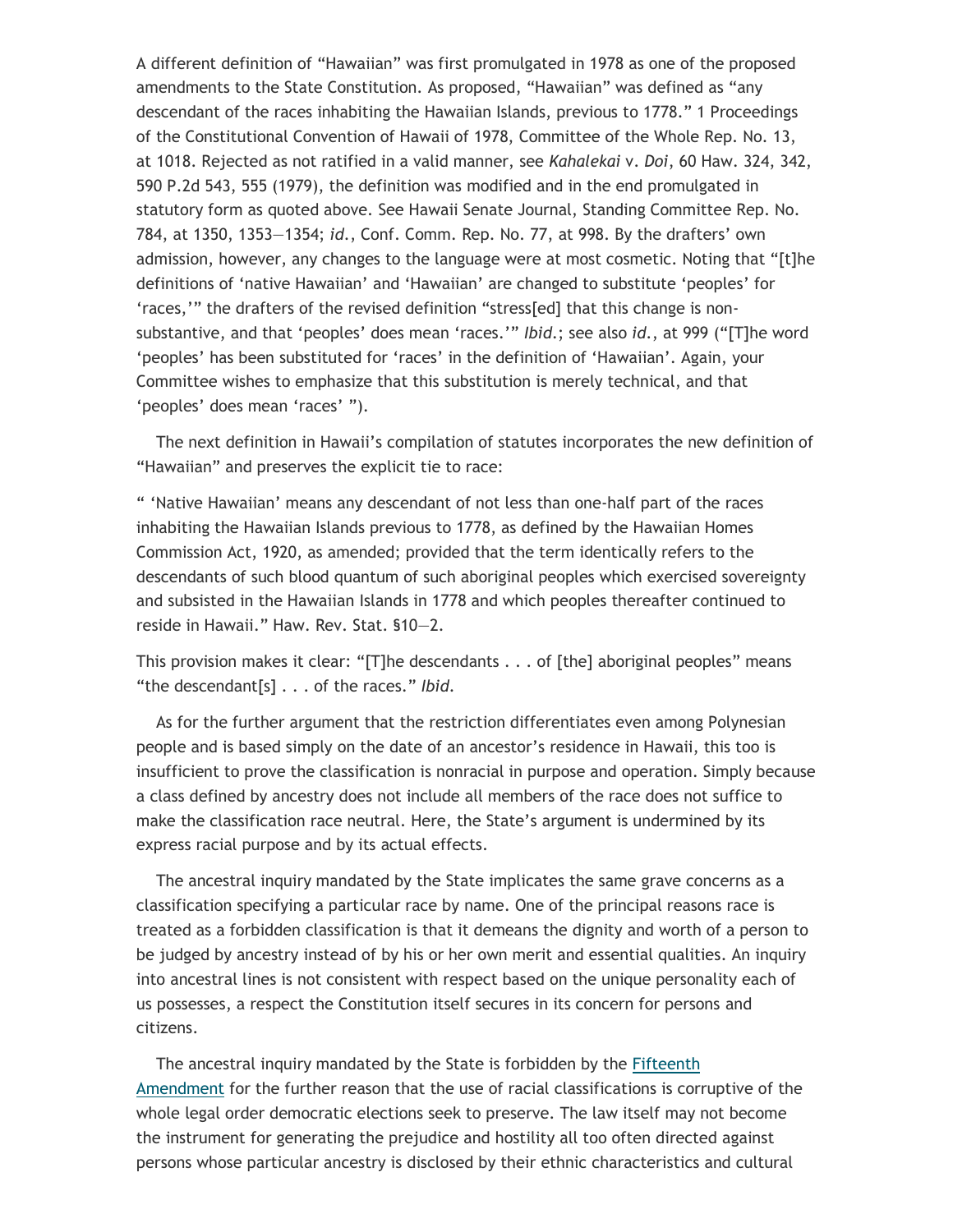A different definition of "Hawaiian" was first promulgated in 1978 as one of the proposed amendments to the State Constitution. As proposed, "Hawaiian" was defined as "any descendant of the races inhabiting the Hawaiian Islands, previous to 1778." 1 Proceedings of the Constitutional Convention of Hawaii of 1978, Committee of the Whole Rep. No. 13, at 1018. Rejected as not ratified in a valid manner, see *Kahalekai* v. *Doi*, 60 Haw. 324, 342, 590 P.2d 543, 555 (1979), the definition was modified and in the end promulgated in statutory form as quoted above. See Hawaii Senate Journal, Standing Committee Rep. No. 784, at 1350, 1353—1354; *id*., Conf. Comm. Rep. No. 77, at 998. By the drafters' own admission, however, any changes to the language were at most cosmetic. Noting that "[t]he definitions of 'native Hawaiian' and 'Hawaiian' are changed to substitute 'peoples' for 'races,'" the drafters of the revised definition "stress[ed] that this change is nonsubstantive, and that 'peoples' does mean 'races.'" *Ibid*.; see also *id*., at 999 ("[T]he word 'peoples' has been substituted for 'races' in the definition of 'Hawaiian'. Again, your Committee wishes to emphasize that this substitution is merely technical, and that 'peoples' does mean 'races' ").

 The next definition in Hawaii's compilation of statutes incorporates the new definition of "Hawaiian" and preserves the explicit tie to race:

" 'Native Hawaiian' means any descendant of not less than one-half part of the races inhabiting the Hawaiian Islands previous to 1778, as defined by the Hawaiian Homes Commission Act, 1920, as amended; provided that the term identically refers to the descendants of such blood quantum of such aboriginal peoples which exercised sovereignty and subsisted in the Hawaiian Islands in 1778 and which peoples thereafter continued to reside in Hawaii." Haw. Rev. Stat. §10—2.

This provision makes it clear: "[T]he descendants . . . of [the] aboriginal peoples" means "the descendant[s] . . . of the races." *Ibid*.

 As for the further argument that the restriction differentiates even among Polynesian people and is based simply on the date of an ancestor's residence in Hawaii, this too is insufficient to prove the classification is nonracial in purpose and operation. Simply because a class defined by ancestry does not include all members of the race does not suffice to make the classification race neutral. Here, the State's argument is undermined by its express racial purpose and by its actual effects.

 The ancestral inquiry mandated by the State implicates the same grave concerns as a classification specifying a particular race by name. One of the principal reasons race is treated as a forbidden classification is that it demeans the dignity and worth of a person to be judged by ancestry instead of by his or her own merit and essential qualities. An inquiry into ancestral lines is not consistent with respect based on the unique personality each of us possesses, a respect the Constitution itself secures in its concern for persons and citizens.

 The ancestral inquiry mandated by the State is forbidden by the [Fifteenth](https://www.law.cornell.edu/supct-cgi/get-const?amendmentxv)  [Amendment](https://www.law.cornell.edu/supct-cgi/get-const?amendmentxv) for the further reason that the use of racial classifications is corruptive of the whole legal order democratic elections seek to preserve. The law itself may not become the instrument for generating the prejudice and hostility all too often directed against persons whose particular ancestry is disclosed by their ethnic characteristics and cultural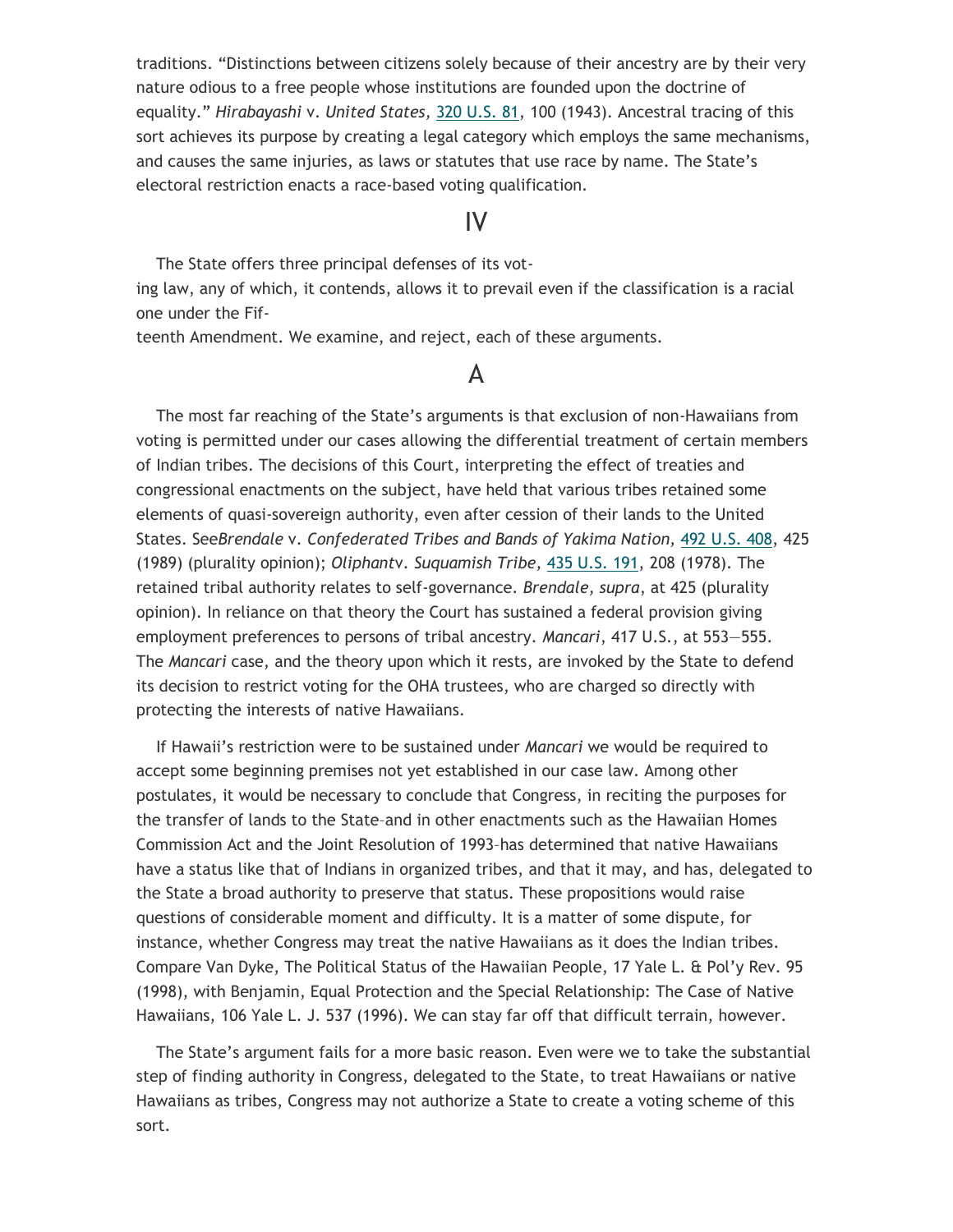traditions. "Distinctions between citizens solely because of their ancestry are by their very nature odious to a free people whose institutions are founded upon the doctrine of equality." *Hirabayashi* v. *United States,* [320 U.S. 81,](https://www.law.cornell.edu/supct-cgi/get-us-cite?320+81) 100 (1943). Ancestral tracing of this sort achieves its purpose by creating a legal category which employs the same mechanisms, and causes the same injuries, as laws or statutes that use race by name. The State's electoral restriction enacts a race-based voting qualification.

### IV

The State offers three principal defenses of its vot-

ing law, any of which, it contends, allows it to prevail even if the classification is a racial one under the Fif-

teenth Amendment. We examine, and reject, each of these arguments.

## A

 The most far reaching of the State's arguments is that exclusion of non-Hawaiians from voting is permitted under our cases allowing the differential treatment of certain members of Indian tribes. The decisions of this Court, interpreting the effect of treaties and congressional enactments on the subject, have held that various tribes retained some elements of quasi-sovereign authority, even after cession of their lands to the United States. See*Brendale* v. *Confederated Tribes and Bands of Yakima Nation,* [492 U.S. 408,](https://www.law.cornell.edu/supct-cgi/get-us-cite?492+408) 425 (1989) (plurality opinion); *Oliphant*v. *Suquamish Tribe,* [435 U.S. 191,](https://www.law.cornell.edu/supct-cgi/get-us-cite?435+191) 208 (1978). The retained tribal authority relates to self-governance. *Brendale, supra*, at 425 (plurality opinion). In reliance on that theory the Court has sustained a federal provision giving employment preferences to persons of tribal ancestry. *Mancari*, 417 U.S., at 553—555. The *Mancari* case, and the theory upon which it rests, are invoked by the State to defend its decision to restrict voting for the OHA trustees, who are charged so directly with protecting the interests of native Hawaiians.

 If Hawaii's restriction were to be sustained under *Mancari* we would be required to accept some beginning premises not yet established in our case law. Among other postulates, it would be necessary to conclude that Congress, in reciting the purposes for the transfer of lands to the State–and in other enactments such as the Hawaiian Homes Commission Act and the Joint Resolution of 1993–has determined that native Hawaiians have a status like that of Indians in organized tribes, and that it may, and has, delegated to the State a broad authority to preserve that status. These propositions would raise questions of considerable moment and difficulty. It is a matter of some dispute, for instance, whether Congress may treat the native Hawaiians as it does the Indian tribes. Compare Van Dyke, The Political Status of the Hawaiian People, 17 Yale L. & Pol'y Rev. 95 (1998), with Benjamin, Equal Protection and the Special Relationship: The Case of Native Hawaiians, 106 Yale L. J. 537 (1996). We can stay far off that difficult terrain, however.

 The State's argument fails for a more basic reason. Even were we to take the substantial step of finding authority in Congress, delegated to the State, to treat Hawaiians or native Hawaiians as tribes, Congress may not authorize a State to create a voting scheme of this sort.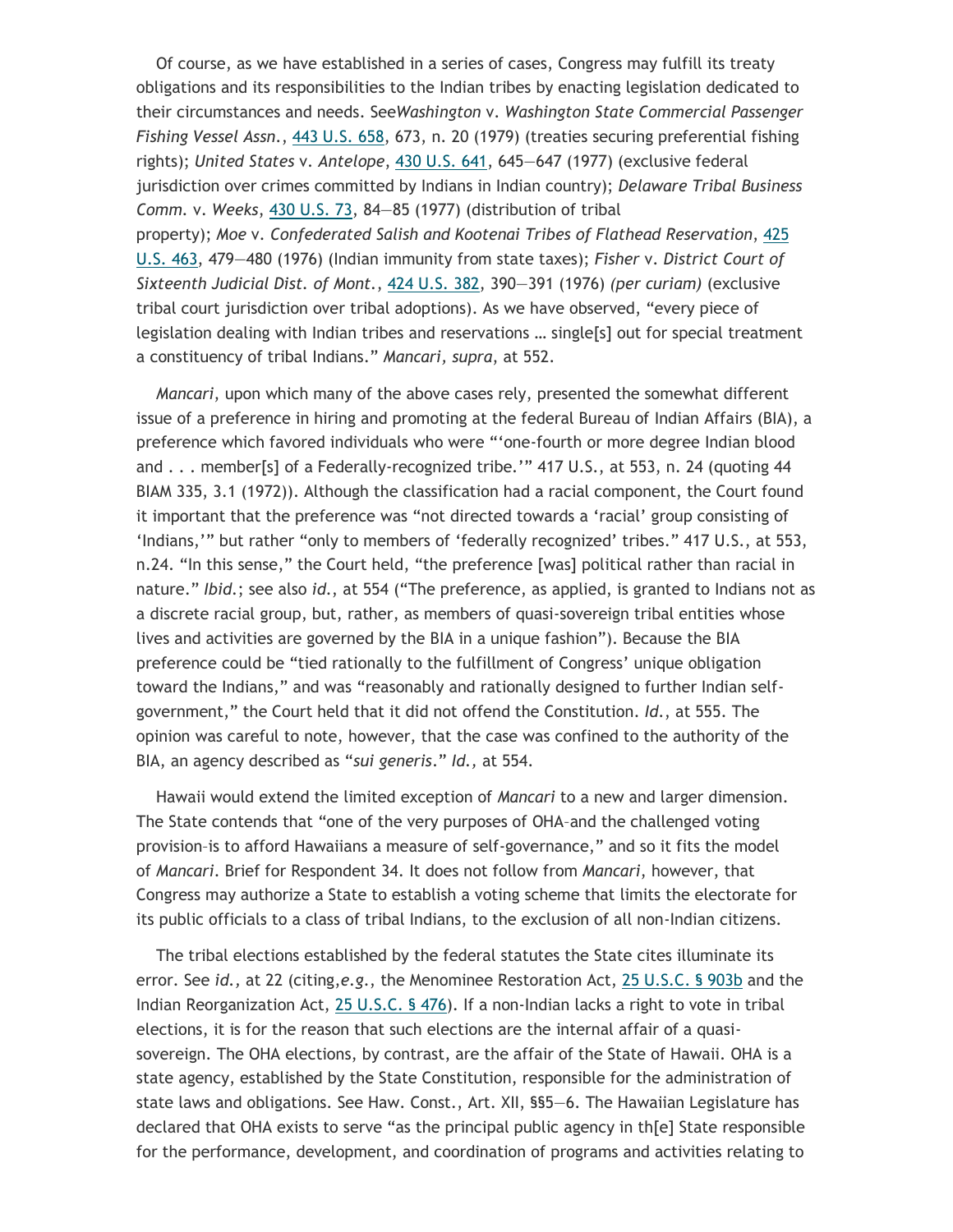Of course, as we have established in a series of cases, Congress may fulfill its treaty obligations and its responsibilities to the Indian tribes by enacting legislation dedicated to their circumstances and needs. See*Washington* v. *Washington State Commercial Passenger Fishing Vessel Assn*., [443 U.S. 658,](https://www.law.cornell.edu/supct-cgi/get-us-cite?443+658) 673, n. 20 (1979) (treaties securing preferential fishing rights); *United States* v. *Antelope*, [430 U.S. 641,](https://www.law.cornell.edu/supct-cgi/get-us-cite?430+641) 645—647 (1977) (exclusive federal jurisdiction over crimes committed by Indians in Indian country); *Delaware Tribal Business Comm.* v. *Weeks*, [430 U.S. 73,](https://www.law.cornell.edu/supct-cgi/get-us-cite?430+73) 84—85 (1977) (distribution of tribal property); *Moe* v. *Confederated Salish and Kootenai Tribes of Flathead Reservation*, [425](https://www.law.cornell.edu/supct-cgi/get-us-cite?425+463)  [U.S. 463,](https://www.law.cornell.edu/supct-cgi/get-us-cite?425+463) 479—480 (1976) (Indian immunity from state taxes); *Fisher* v. *District Court of Sixteenth Judicial Dist. of Mont.*, [424 U.S. 382,](https://www.law.cornell.edu/supct-cgi/get-us-cite?424+382) 390—391 (1976) *(per curiam)* (exclusive tribal court jurisdiction over tribal adoptions). As we have observed, "every piece of legislation dealing with Indian tribes and reservations … single[s] out for special treatment a constituency of tribal Indians." *Mancari, supra*, at 552.

 *Mancari*, upon which many of the above cases rely, presented the somewhat different issue of a preference in hiring and promoting at the federal Bureau of Indian Affairs (BIA), a preference which favored individuals who were "'one-fourth or more degree Indian blood and . . . member[s] of a Federally-recognized tribe.'" 417 U.S., at 553, n. 24 (quoting 44 BIAM 335, 3.1 (1972)). Although the classification had a racial component, the Court found it important that the preference was "not directed towards a 'racial' group consisting of 'Indians,'" but rather "only to members of 'federally recognized' tribes." 417 U.S., at 553, n.24. "In this sense," the Court held, "the preference [was] political rather than racial in nature." *Ibid.*; see also *id*., at 554 ("The preference, as applied, is granted to Indians not as a discrete racial group, but, rather, as members of quasi-sovereign tribal entities whose lives and activities are governed by the BIA in a unique fashion"). Because the BIA preference could be "tied rationally to the fulfillment of Congress' unique obligation toward the Indians," and was "reasonably and rationally designed to further Indian selfgovernment," the Court held that it did not offend the Constitution. *Id*., at 555. The opinion was careful to note, however, that the case was confined to the authority of the BIA, an agency described as "*sui generis*." *Id.,* at 554.

 Hawaii would extend the limited exception of *Mancari* to a new and larger dimension. The State contends that "one of the very purposes of OHA–and the challenged voting provision-is to afford Hawaiians a measure of self-governance," and so it fits the model of *Mancari*. Brief for Respondent 34. It does not follow from *Mancari*, however, that Congress may authorize a State to establish a voting scheme that limits the electorate for its public officials to a class of tribal Indians, to the exclusion of all non-Indian citizens.

 The tribal elections established by the federal statutes the State cites illuminate its error. See *id.,* at 22 (citing,*e.g*., the Menominee Restoration Act, [25 U.S.C. § 903b](https://www.law.cornell.edu/supct-cgi/get-usc-cite/25/903b) and the Indian Reorganization Act, [25 U.S.C. § 476\)](https://www.law.cornell.edu/supct-cgi/get-usc-cite/25/476). If a non-Indian lacks a right to vote in tribal elections, it is for the reason that such elections are the internal affair of a quasisovereign. The OHA elections, by contrast, are the affair of the State of Hawaii. OHA is a state agency, established by the State Constitution, responsible for the administration of state laws and obligations. See Haw. Const., Art. XII, §§5—6. The Hawaiian Legislature has declared that OHA exists to serve "as the principal public agency in th[e] State responsible for the performance, development, and coordination of programs and activities relating to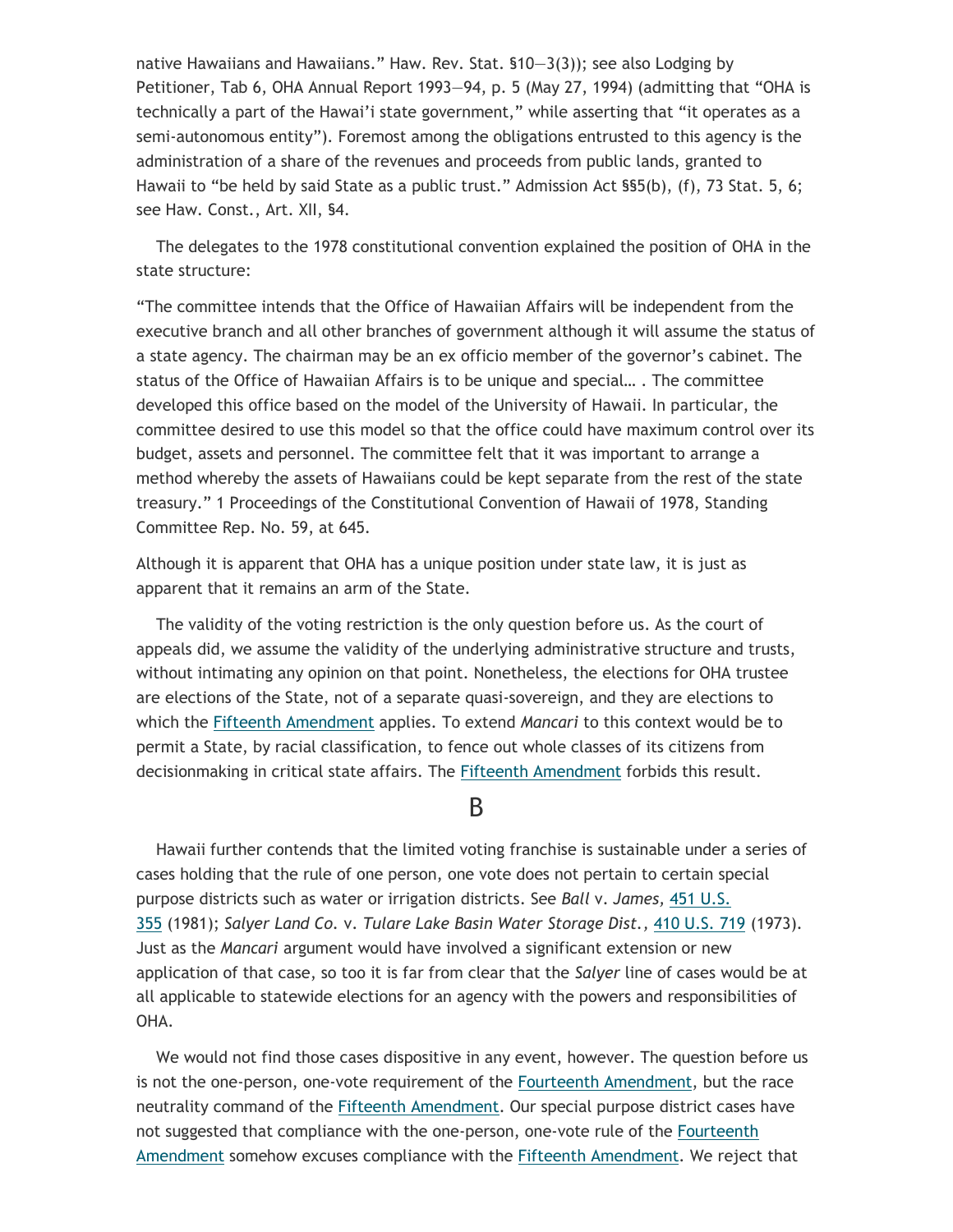native Hawaiians and Hawaiians." Haw. Rev. Stat. §10—3(3)); see also Lodging by Petitioner, Tab 6, OHA Annual Report 1993—94, p. 5 (May 27, 1994) (admitting that "OHA is technically a part of the Hawai'i state government," while asserting that "it operates as a semi-autonomous entity"). Foremost among the obligations entrusted to this agency is the administration of a share of the revenues and proceeds from public lands, granted to Hawaii to "be held by said State as a public trust." Admission Act §§5(b), (f), 73 Stat. 5, 6; see Haw. Const., Art. XII, §4.

 The delegates to the 1978 constitutional convention explained the position of OHA in the state structure:

"The committee intends that the Office of Hawaiian Affairs will be independent from the executive branch and all other branches of government although it will assume the status of a state agency. The chairman may be an ex officio member of the governor's cabinet. The status of the Office of Hawaiian Affairs is to be unique and special… . The committee developed this office based on the model of the University of Hawaii. In particular, the committee desired to use this model so that the office could have maximum control over its budget, assets and personnel. The committee felt that it was important to arrange a method whereby the assets of Hawaiians could be kept separate from the rest of the state treasury." 1 Proceedings of the Constitutional Convention of Hawaii of 1978, Standing Committee Rep. No. 59, at 645.

Although it is apparent that OHA has a unique position under state law, it is just as apparent that it remains an arm of the State.

 The validity of the voting restriction is the only question before us. As the court of appeals did, we assume the validity of the underlying administrative structure and trusts, without intimating any opinion on that point. Nonetheless, the elections for OHA trustee are elections of the State, not of a separate quasi-sovereign, and they are elections to which the [Fifteenth Amendment](https://www.law.cornell.edu/supct-cgi/get-const?amendmentxv) applies. To extend *Mancari* to this context would be to permit a State, by racial classification, to fence out whole classes of its citizens from decisionmaking in critical state affairs. The [Fifteenth Amendment](https://www.law.cornell.edu/supct-cgi/get-const?amendmentxv) forbids this result.

#### B

 Hawaii further contends that the limited voting franchise is sustainable under a series of cases holding that the rule of one person, one vote does not pertain to certain special purpose districts such as water or irrigation districts. See *Ball* v. *James,* [451 U.S.](https://www.law.cornell.edu/supct-cgi/get-us-cite?451+355)  [355](https://www.law.cornell.edu/supct-cgi/get-us-cite?451+355) (1981); *Salyer Land Co.* v. *Tulare Lake Basin Water Storage Dist.,* [410 U.S. 719](https://www.law.cornell.edu/supct-cgi/get-us-cite?410+719) (1973). Just as the *Mancari* argument would have involved a significant extension or new application of that case, so too it is far from clear that the *Salyer* line of cases would be at all applicable to statewide elections for an agency with the powers and responsibilities of OHA.

 We would not find those cases dispositive in any event, however. The question before us is not the one-person, one-vote requirement of the [Fourteenth Amendment,](https://www.law.cornell.edu/supct-cgi/get-const?amendmentxiv) but the race neutrality command of the [Fifteenth Amendment.](https://www.law.cornell.edu/supct-cgi/get-const?amendmentxv) Our special purpose district cases have not suggested that compliance with the one-person, one-vote rule of the [Fourteenth](https://www.law.cornell.edu/supct-cgi/get-const?amendmentxiv)  [Amendment](https://www.law.cornell.edu/supct-cgi/get-const?amendmentxiv) somehow excuses compliance with the [Fifteenth Amendment.](https://www.law.cornell.edu/supct-cgi/get-const?amendmentxv) We reject that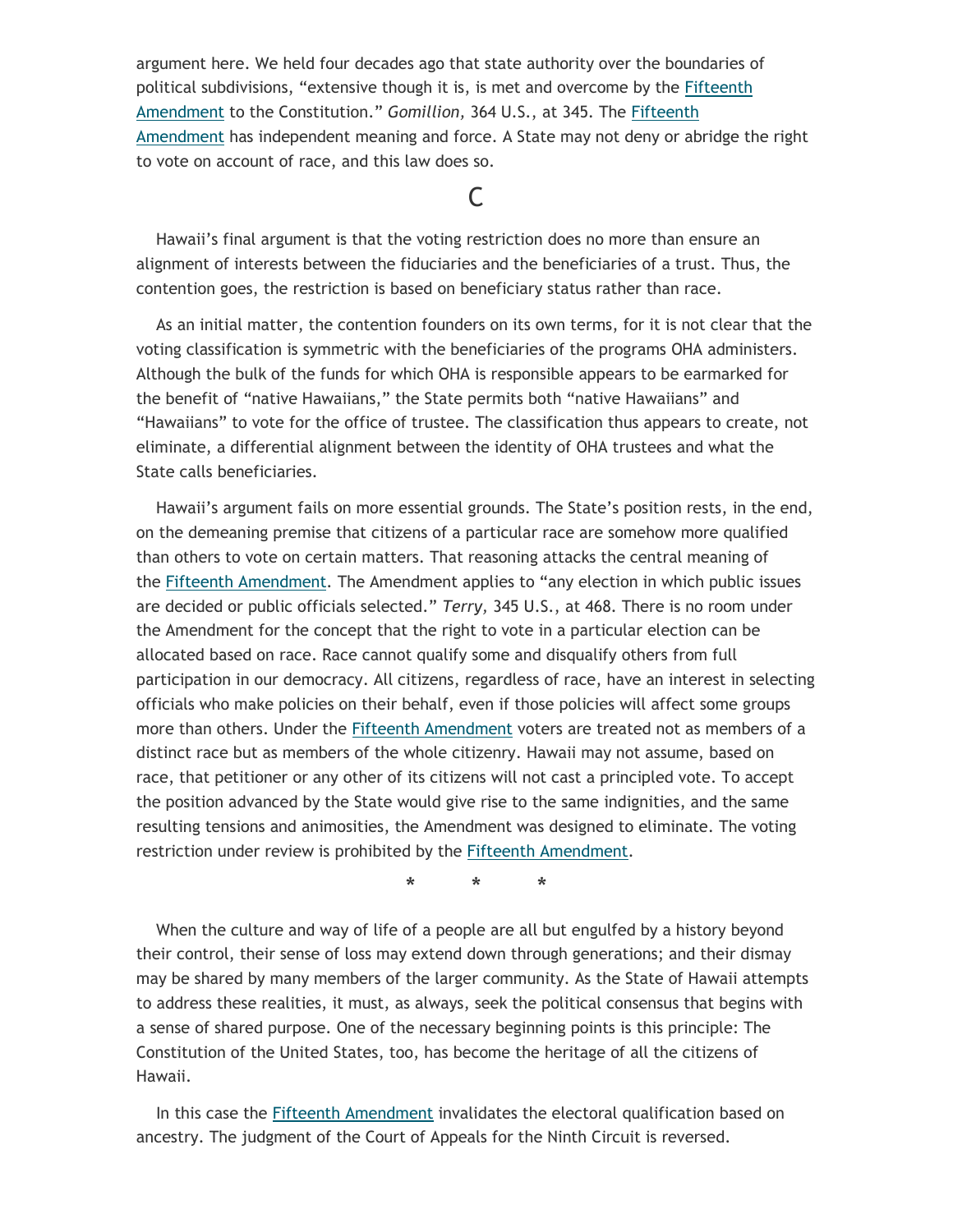argument here. We held four decades ago that state authority over the boundaries of political subdivisions, "extensive though it is, is met and overcome by the [Fifteenth](https://www.law.cornell.edu/supct-cgi/get-const?amendmentxv)  [Amendment](https://www.law.cornell.edu/supct-cgi/get-const?amendmentxv) to the Constitution." *Gomillion,* 364 U.S., at 345. The [Fifteenth](https://www.law.cornell.edu/supct-cgi/get-const?amendmentxv)  [Amendment](https://www.law.cornell.edu/supct-cgi/get-const?amendmentxv) has independent meaning and force. A State may not deny or abridge the right to vote on account of race, and this law does so.

### C

 Hawaii's final argument is that the voting restriction does no more than ensure an alignment of interests between the fiduciaries and the beneficiaries of a trust. Thus, the contention goes, the restriction is based on beneficiary status rather than race.

 As an initial matter, the contention founders on its own terms, for it is not clear that the voting classification is symmetric with the beneficiaries of the programs OHA administers. Although the bulk of the funds for which OHA is responsible appears to be earmarked for the benefit of "native Hawaiians," the State permits both "native Hawaiians" and "Hawaiians" to vote for the office of trustee. The classification thus appears to create, not eliminate, a differential alignment between the identity of OHA trustees and what the State calls beneficiaries.

 Hawaii's argument fails on more essential grounds. The State's position rests, in the end, on the demeaning premise that citizens of a particular race are somehow more qualified than others to vote on certain matters. That reasoning attacks the central meaning of the [Fifteenth Amendment](https://www.law.cornell.edu/supct-cgi/get-const?amendmentxv). The Amendment applies to "any election in which public issues are decided or public officials selected." *Terry,* 345 U.S., at 468. There is no room under the Amendment for the concept that the right to vote in a particular election can be allocated based on race. Race cannot qualify some and disqualify others from full participation in our democracy. All citizens, regardless of race, have an interest in selecting officials who make policies on their behalf, even if those policies will affect some groups more than others. Under the [Fifteenth Amendment](https://www.law.cornell.edu/supct-cgi/get-const?amendmentxv) voters are treated not as members of a distinct race but as members of the whole citizenry. Hawaii may not assume, based on race, that petitioner or any other of its citizens will not cast a principled vote. To accept the position advanced by the State would give rise to the same indignities, and the same resulting tensions and animosities, the Amendment was designed to eliminate. The voting restriction under review is prohibited by the [Fifteenth Amendment.](https://www.law.cornell.edu/supct-cgi/get-const?amendmentxv)

\* \* \*

 When the culture and way of life of a people are all but engulfed by a history beyond their control, their sense of loss may extend down through generations; and their dismay may be shared by many members of the larger community. As the State of Hawaii attempts to address these realities, it must, as always, seek the political consensus that begins with a sense of shared purpose. One of the necessary beginning points is this principle: The Constitution of the United States, too, has become the heritage of all the citizens of Hawaii.

 In this case the [Fifteenth Amendment](https://www.law.cornell.edu/supct-cgi/get-const?amendmentxv) invalidates the electoral qualification based on ancestry. The judgment of the Court of Appeals for the Ninth Circuit is reversed.